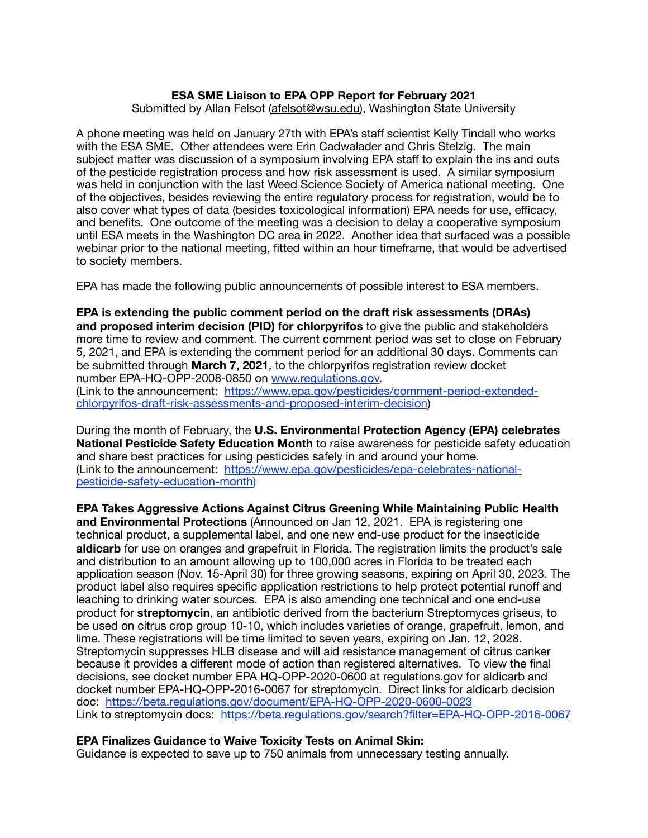## **ESA SME Liaison to EPA OPP Report for February 2021**  Submitted by Allan Felsot ([afelsot@wsu.edu\)](mailto:afelsot@wsu.edu), Washington State University

A phone meeting was held on January 27th with EPA's staff scientist Kelly Tindall who works with the ESA SME. Other attendees were Erin Cadwalader and Chris Stelzig. The main subject matter was discussion of a symposium involving EPA staff to explain the ins and outs of the pesticide registration process and how risk assessment is used. A similar symposium was held in conjunction with the last Weed Science Society of America national meeting. One of the objectives, besides reviewing the entire regulatory process for registration, would be to also cover what types of data (besides toxicological information) EPA needs for use, efficacy, and benefits. One outcome of the meeting was a decision to delay a cooperative symposium until ESA meets in the Washington DC area in 2022. Another idea that surfaced was a possible webinar prior to the national meeting, fitted within an hour timeframe, that would be advertised to society members.

EPA has made the following public announcements of possible interest to ESA members.

**EPA is extending the public comment period on the draft risk assessments (DRAs) and proposed interim decision (PID) for chlorpyrifos** to give the public and stakeholders more time to review and comment. The current comment period was set to close on February 5, 2021, and EPA is extending the comment period for an additional 30 days. Comments can be submitted through **March 7, 2021**, to the chlorpyrifos registration review docket number EPA-HQ-OPP-2008-0850 on [www.regulations.gov.](http://www.regulations.gov) (Link to the announcement: [https://www.epa.gov/pesticides/comment-period-extended](https://www.epa.gov/pesticides/comment-period-extended-chlorpyrifos-draft-risk-assessments-and-proposed-interim-decision)[chlorpyrifos-draft-risk-assessments-and-proposed-interim-decision\)](https://www.epa.gov/pesticides/comment-period-extended-chlorpyrifos-draft-risk-assessments-and-proposed-interim-decision)

During the month of February, the **U.S. Environmental Protection Agency (EPA) celebrates National Pesticide Safety Education Month** to raise awareness for pesticide safety education and share best practices for using pesticides safely in and around your home. [\(Link to the announcement: https://www.epa.gov/pesticides/epa-celebrates-national](https://www.epa.gov/pesticides/epa-celebrates-national-pesticide-safety-education-month)[pesticide-safety-education-month](https://www.epa.gov/pesticides/epa-celebrates-national-pesticide-safety-education-month))

**EPA Takes Aggressive Actions Against Citrus Greening While Maintaining Public Health and Environmental Protections** (Announced on Jan 12, 2021. EPA is registering one technical product, a supplemental label, and one new end-use product for the insecticide **aldicarb** for use on oranges and grapefruit in Florida. The registration limits the product's sale and distribution to an amount allowing up to 100,000 acres in Florida to be treated each application season (Nov. 15-April 30) for three growing seasons, expiring on April 30, 2023. The product label also requires specific application restrictions to help protect potential runoff and leaching to drinking water sources. EPA is also amending one technical and one end-use product for **streptomycin**, an antibiotic derived from the bacterium Streptomyces griseus, to be used on citrus crop group 10-10, which includes varieties of orange, grapefruit, lemon, and lime. These registrations will be time limited to seven years, expiring on Jan. 12, 2028. Streptomycin suppresses HLB disease and will aid resistance management of citrus canker because it provides a different mode of action than registered alternatives. To view the final decisions, see docket number EPA HQ-OPP-2020-0600 at regulations.gov for aldicarb and docket number EPA-HQ-OPP-2016-0067 for streptomycin. Direct links for aldicarb decision doc: <https://beta.regulations.gov/document/EPA-HQ-OPP-2020-0600-0023> Link to streptomycin docs: <https://beta.regulations.gov/search?filter=EPA-HQ-OPP-2016-0067>

## **EPA Finalizes Guidance to Waive Toxicity Tests on Animal Skin:**

Guidance is expected to save up to 750 animals from unnecessary testing annually.